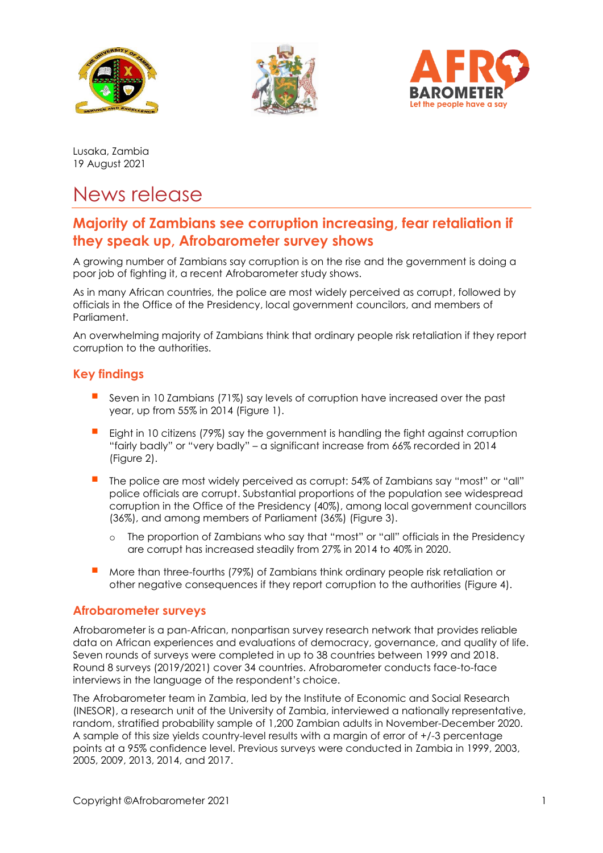





Lusaka, Zambia 19 August 2021

# News release

# **Majority of Zambians see corruption increasing, fear retaliation if they speak up, Afrobarometer survey shows**

A growing number of Zambians say corruption is on the rise and the government is doing a poor job of fighting it, a recent Afrobarometer study shows.

As in many African countries, the police are most widely perceived as corrupt, followed by officials in the Office of the Presidency, local government councilors, and members of Parliament.

An overwhelming majority of Zambians think that ordinary people risk retaliation if they report corruption to the authorities.

## **Key findings**

- Seven in 10 Zambians (71%) say levels of corruption have increased over the past year, up from 55% in 2014 (Figure 1).
- Eight in 10 citizens (79%) say the government is handling the fight against corruption "fairly badly" or "very badly" – a significant increase from 66% recorded in 2014 (Figure 2).
- The police are most widely perceived as corrupt: 54% of Zambians say "most" or "all" police officials are corrupt. Substantial proportions of the population see widespread corruption in the Office of the Presidency (40%), among local government councillors (36%), and among members of Parliament (36%) (Figure 3).
	- o The proportion of Zambians who say that "most" or "all" officials in the Presidency are corrupt has increased steadily from 27% in 2014 to 40% in 2020.
- More than three-fourths (79%) of Zambians think ordinary people risk retaliation or other negative consequences if they report corruption to the authorities (Figure 4).

#### **Afrobarometer surveys**

Afrobarometer is a pan-African, nonpartisan survey research network that provides reliable data on African experiences and evaluations of democracy, governance, and quality of life. Seven rounds of surveys were completed in up to 38 countries between 1999 and 2018. Round 8 surveys (2019/2021) cover 34 countries. Afrobarometer conducts face-to-face interviews in the language of the respondent's choice.

The Afrobarometer team in Zambia, led by the Institute of Economic and Social Research (INESOR), a research unit of the University of Zambia, interviewed a nationally representative, random, stratified probability sample of 1,200 Zambian adults in November-December 2020. A sample of this size yields country-level results with a margin of error of +/-3 percentage points at a 95% confidence level. Previous surveys were conducted in Zambia in 1999, 2003, 2005, 2009, 2013, 2014, and 2017.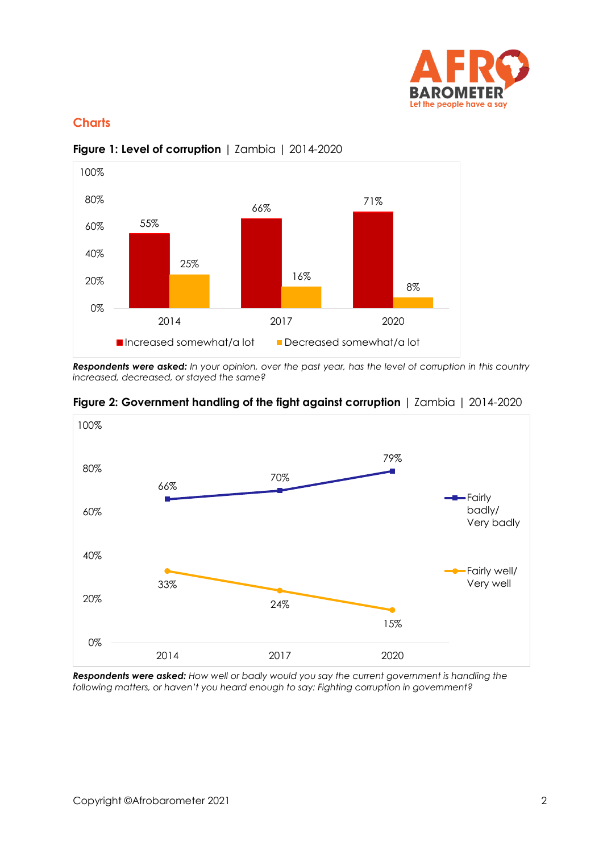

# **Charts**



#### **Figure 1: Level of corruption** | Zambia | 2014-2020

*Respondents were asked: In your opinion, over the past year, has the level of corruption in this country increased, decreased, or stayed the same?* 



**Figure 2: Government handling of the fight against corruption** | Zambia | 2014-2020

*Respondents were asked: How well or badly would you say the current government is handling the following matters, or haven't you heard enough to say: Fighting corruption in government?*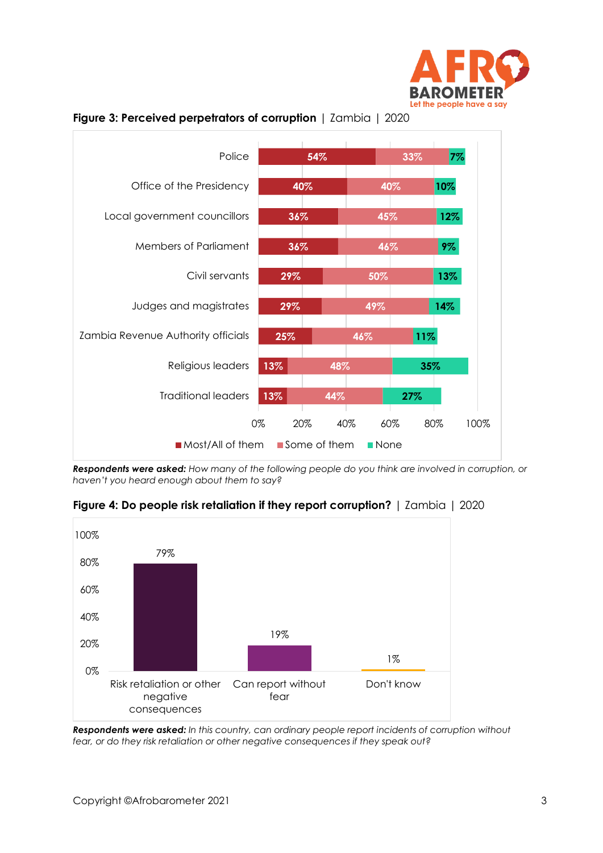



**Figure 3: Perceived perpetrators of corruption** | Zambia | 2020

*Respondents were asked: How many of the following people do you think are involved in corruption, or haven't you heard enough about them to say?*

**Figure 4: Do people risk retaliation if they report corruption?** | Zambia | 2020



*Respondents were asked: In this country, can ordinary people report incidents of corruption without fear, or do they risk retaliation or other negative consequences if they speak out?*